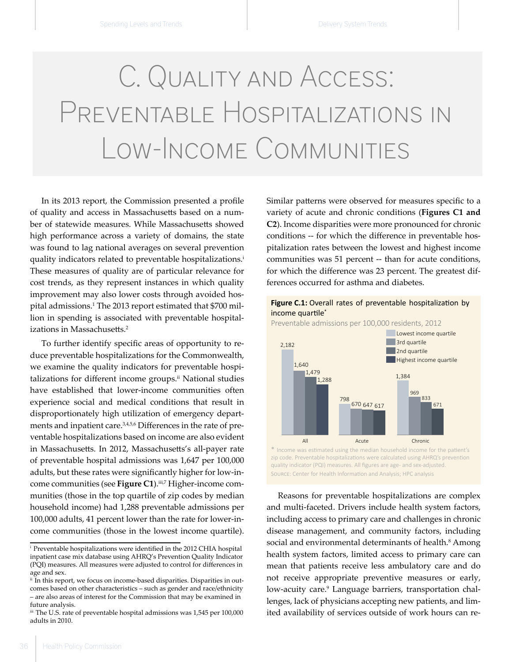## C. Quality and Access: Preventable Hospitalizations in Low-Income Communities

In its 2013 report, the Commission presented a profile of quality and access in Massachusetts based on a number of statewide measures. While Massachusetts showed high performance across a variety of domains, the state was found to lag national averages on several prevention quality indicators related to preventable hospitalizations.<sup>i</sup> These measures of quality are of particular relevance for cost trends, as they represent instances in which quality improvement may also lower costs through avoided hospital admissions.<sup>1</sup> The 2013 report estimated that \$700 million in spending is associated with preventable hospitalizations in Massachusetts.<sup>2</sup>

To further identify specific areas of opportunity to reduce preventable hospitalizations for the Commonwealth, we examine the quality indicators for preventable hospitalizations for different income groups. $ii$  National studies have established that lower-income communities often experience social and medical conditions that result in disproportionately high utilization of emergency departments and inpatient care.<sup>3,4,5,6</sup> Differences in the rate of preventable hospitalizations based on income are also evident in Massachusetts. In 2012, Massachusetts's all-payer rate of preventable hospital admissions was 1,647 per 100,000 adults, but these rates were significantly higher for low-income communities (see Figure C1).<sup>iii,7</sup> Higher-income communities (those in the top quartile of zip codes by median household income) had 1,288 preventable admissions per 100,000 adults, 41 percent lower than the rate for lower-income communities (those in the lowest income quartile).

Similar patterns were observed for measures specific to a variety of acute and chronic conditions (**Figures C1 and C2**). Income disparities were more pronounced for chronic conditions -- for which the difference in preventable hospitalization rates between the lowest and highest income communities was 51 percent -- than for acute conditions, for which the difference was 23 percent. The greatest differences occurred for asthma and diabetes.

## Figure C.1: Overall rates of preventable hospitalization by income quartile<sup>\*</sup>



Preventable admissions per 100,000 residents, 2012

SOURCE: Center for Health Information and Analysis; HPC analysis \* Income was estimated using the median household income for the patient's zip code. Preventable hospitalizations were calculated using AHRQ's prevention quality indicator (PQI) measures. All figures are age- and sex-adjusted.

Reasons for preventable hospitalizations are complex and multi-faceted. Drivers include health system factors, including access to primary care and challenges in chronic disease management, and community factors, including social and environmental determinants of health.<sup>8</sup> Among health system factors, limited access to primary care can mean that patients receive less ambulatory care and do not receive appropriate preventive measures or early, low-acuity care.<sup>9</sup> Language barriers, transportation challenges, lack of physicians accepting new patients, and limited availability of services outside of work hours can re-

i   Preventable hospitalizations were identified in the 2012 CHIA hospital inpatient case mix database using AHRQ's Prevention Quality Indicator (PQI) measures. All measures were adjusted to control for differences in age and sex.

<sup>&</sup>lt;sup>ii</sup> In this report, we focus on income-based disparities. Disparities in outcomes based on other characteristics – such as gender and race/ethnicity – are also areas of interest for the Commission that may be examined in future analysis.

 $^{\rm{iii}}$  The U.S. rate of preventable hospital admissions was 1,545 per 100,000 adults in 2010.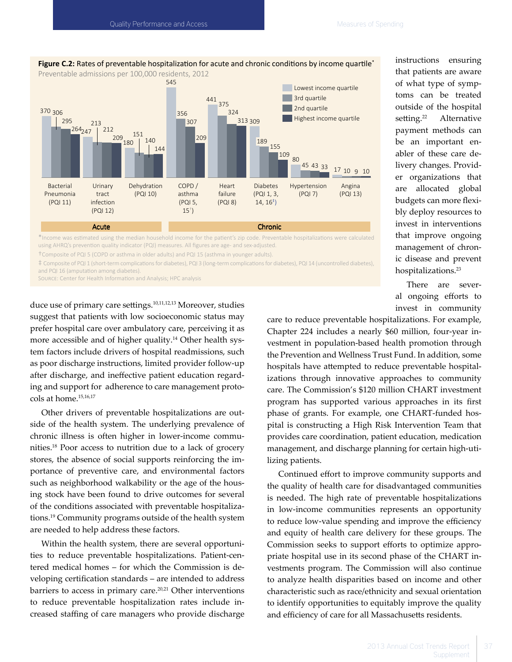

Figure C.2: Rates of preventable hospitalization for acute and chronic conditions by income quartile<sup>\*</sup>

\*Income was estimated using the median household income for the patient's zip code. Preventable hospitalizations were calculated using AHRQ's prevention quality indicator (PQI) measures. All figures are age- and sex-adjusted.

†Composite of PQI 5 (COPD or asthma in older adults) and PQI 15 (asthma in younger adults).

‡ Composite of PQI 1 (short-term complications for diabetes), PQI 3 (long-term complications for diabetes), PQI 14 (uncontrolled diabetes), and PQI 16 (amputation among diabetes).

SOURCE: Center for Health Information and Analysis; HPC analysis

duce use of primary care settings.<sup>10,11,12,13</sup> Moreover, studies suggest that patients with low socioeconomic status may prefer hospital care over ambulatory care, perceiving it as more accessible and of higher quality.14 Other health system factors include drivers of hospital readmissions, such as poor discharge instructions, limited provider follow-up after discharge, and ineffective patient education regarding and support for adherence to care management protocols at home.15,16,17

Other drivers of preventable hospitalizations are outside of the health system. The underlying prevalence of chronic illness is often higher in lower-income communities.18 Poor access to nutrition due to a lack of grocery stores, the absence of social supports reinforcing the importance of preventive care, and environmental factors such as neighborhood walkability or the age of the housing stock have been found to drive outcomes for several of the conditions associated with preventable hospitalizations.<sup>19</sup> Community programs outside of the health system are needed to help address these factors.

Within the health system, there are several opportunities to reduce preventable hospitalizations. Patient-centered medical homes – for which the Commission is developing certification standards – are intended to address barriers to access in primary care.<sup>20,21</sup> Other interventions to reduce preventable hospitalization rates include increased staffing of care managers who provide discharge

instructions ensuring that patients are aware of what type of symptoms can be treated outside of the hospital setting.<sup>22</sup> Alternative payment methods can be an important enabler of these care delivery changes. Provider organizations that are allocated global budgets can more flexibly deploy resources to invest in interventions that improve ongoing management of chronic disease and prevent hospitalizations.<sup>23</sup>

There are several ongoing efforts to invest in community

care to reduce preventable hospitalizations. For example, Chapter 224 includes a nearly \$60 million, four-year investment in population-based health promotion through the Prevention and Wellness Trust Fund. In addition, some hospitals have attempted to reduce preventable hospitalizations through innovative approaches to community care. The Commission's \$120 million CHART investment program has supported various approaches in its first phase of grants. For example, one CHART-funded hospital is constructing a High Risk Intervention Team that provides care coordination, patient education, medication management, and discharge planning for certain high-utilizing patients.

Continued effort to improve community supports and the quality of health care for disadvantaged communities is needed. The high rate of preventable hospitalizations in low-income communities represents an opportunity to reduce low-value spending and improve the efficiency and equity of health care delivery for these groups. The Commission seeks to support efforts to optimize appropriate hospital use in its second phase of the CHART investments program. The Commission will also continue to analyze health disparities based on income and other characteristic such as race/ethnicity and sexual orientation to identify opportunities to equitably improve the quality and efficiency of care for all Massachusetts residents.